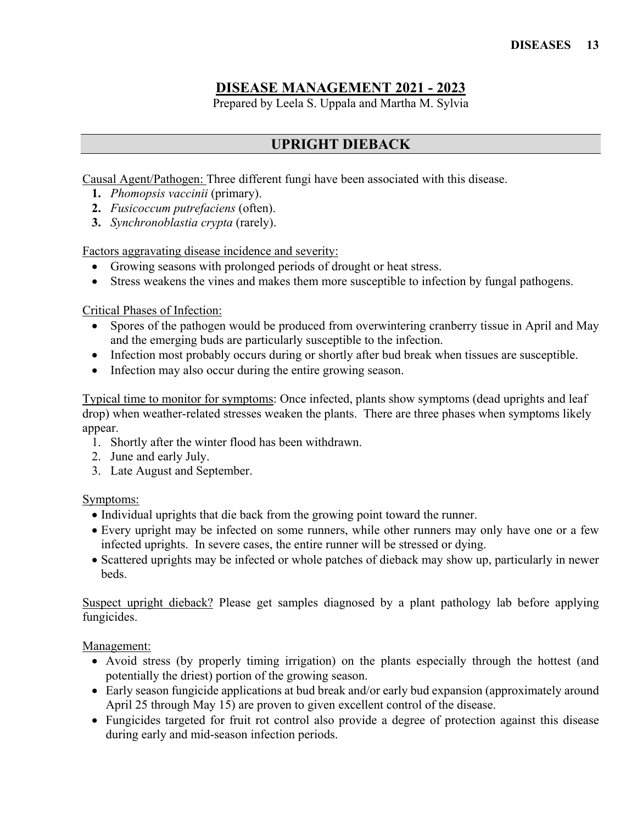## **DISEASE MANAGEMENT 2021 - 2023**

Prepared by Leela S. Uppala and Martha M. Sylvia

## **UPRIGHT DIEBACK**

Causal Agent/Pathogen: Three different fungi have been associated with this disease.

- **1.** *Phomopsis vaccinii* (primary).
- **2.** *Fusicoccum putrefaciens* (often).
- **3.** *Synchronoblastia crypta* (rarely).

Factors aggravating disease incidence and severity:

- Growing seasons with prolonged periods of drought or heat stress.
- Stress weakens the vines and makes them more susceptible to infection by fungal pathogens.

Critical Phases of Infection:

- Spores of the pathogen would be produced from overwintering cranberry tissue in April and May and the emerging buds are particularly susceptible to the infection.
- Infection most probably occurs during or shortly after bud break when tissues are susceptible.
- Infection may also occur during the entire growing season.

Typical time to monitor for symptoms: Once infected, plants show symptoms (dead uprights and leaf drop) when weather-related stresses weaken the plants. There are three phases when symptoms likely appear.

- 1. Shortly after the winter flood has been withdrawn.
- 2. June and early July.
- 3. Late August and September.

## Symptoms:

- Individual uprights that die back from the growing point toward the runner.
- Every upright may be infected on some runners, while other runners may only have one or a few infected uprights. In severe cases, the entire runner will be stressed or dying.
- Scattered uprights may be infected or whole patches of dieback may show up, particularly in newer beds.

Suspect upright dieback? Please get samples diagnosed by a plant pathology lab before applying fungicides.

Management:

- Avoid stress (by properly timing irrigation) on the plants especially through the hottest (and potentially the driest) portion of the growing season.
- Early season fungicide applications at bud break and/or early bud expansion (approximately around April 25 through May 15) are proven to given excellent control of the disease.
- Fungicides targeted for fruit rot control also provide a degree of protection against this disease during early and mid-season infection periods.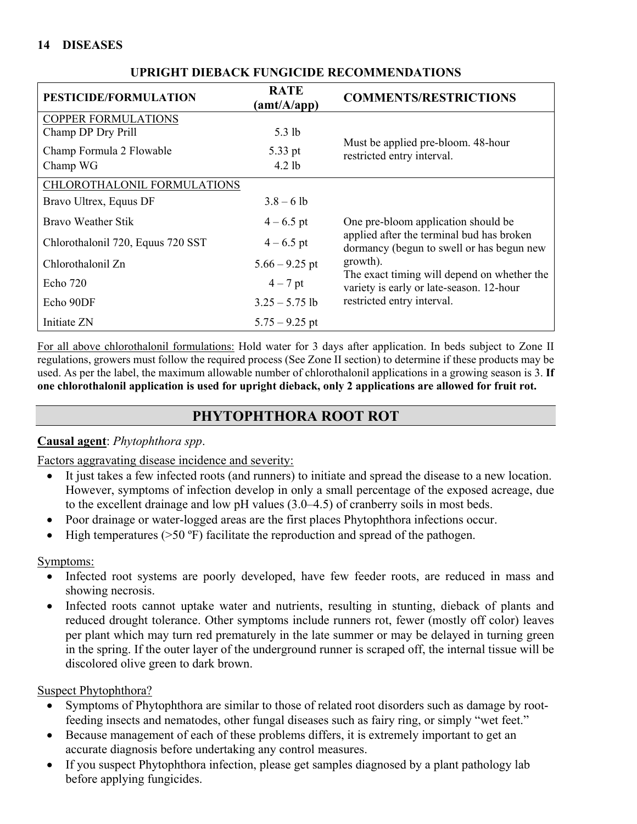## **14 DISEASES**

| PESTICIDE/FORMULATION             | <b>RATE</b><br>(amt/A/app) | <b>COMMENTS/RESTRICTIONS</b>                                                            |
|-----------------------------------|----------------------------|-----------------------------------------------------------------------------------------|
| <b>COPPER FORMULATIONS</b>        |                            |                                                                                         |
| Champ DP Dry Prill                | $5.3$ lb                   |                                                                                         |
| Champ Formula 2 Flowable          | 5.33 pt                    | Must be applied pre-bloom. 48-hour<br>restricted entry interval.                        |
| Champ WG                          | $4.2$ lb                   |                                                                                         |
| CHLOROTHALONIL FORMULATIONS       |                            |                                                                                         |
| Bravo Ultrex, Equus DF            | $3.8 - 6$ lb               |                                                                                         |
| Bravo Weather Stik                | $4 - 6.5$ pt               | One pre-bloom application should be                                                     |
| Chlorothalonil 720, Equus 720 SST | $4 - 6.5$ pt               | applied after the terminal bud has broken<br>dormancy (begun to swell or has begun new  |
| Chlorothalonil Zn                 | $5.66 - 9.25$ pt           | growth).                                                                                |
| Echo 720                          | $4-7$ pt                   | The exact timing will depend on whether the<br>variety is early or late-season. 12-hour |
| Echo 90DF                         | $3.25 - 5.75$ lb           | restricted entry interval.                                                              |
| Initiate ZN                       | $5.75 - 9.25$ pt           |                                                                                         |

## **UPRIGHT DIEBACK FUNGICIDE RECOMMENDATIONS**

For all above chlorothalonil formulations: Hold water for 3 days after application. In beds subject to Zone II regulations, growers must follow the required process (See Zone II section) to determine if these products may be used. As per the label, the maximum allowable number of chlorothalonil applications in a growing season is 3. **If one chlorothalonil application is used for upright dieback, only 2 applications are allowed for fruit rot.** 

## **PHYTOPHTHORA ROOT ROT**

## **Causal agent**: *Phytophthora spp*.

Factors aggravating disease incidence and severity:

- It just takes a few infected roots (and runners) to initiate and spread the disease to a new location. However, symptoms of infection develop in only a small percentage of the exposed acreage, due to the excellent drainage and low pH values (3.0–4.5) of cranberry soils in most beds.
- Poor drainage or water-logged areas are the first places Phytophthora infections occur.
- High temperatures ( $>50$  °F) facilitate the reproduction and spread of the pathogen.

## Symptoms:

- Infected root systems are poorly developed, have few feeder roots, are reduced in mass and showing necrosis.
- Infected roots cannot uptake water and nutrients, resulting in stunting, dieback of plants and reduced drought tolerance. Other symptoms include runners rot, fewer (mostly off color) leaves per plant which may turn red prematurely in the late summer or may be delayed in turning green in the spring. If the outer layer of the underground runner is scraped off, the internal tissue will be discolored olive green to dark brown.

## Suspect Phytophthora?

- Symptoms of Phytophthora are similar to those of related root disorders such as damage by rootfeeding insects and nematodes, other fungal diseases such as fairy ring, or simply "wet feet."
- Because management of each of these problems differs, it is extremely important to get an accurate diagnosis before undertaking any control measures.
- If you suspect Phytophthora infection, please get samples diagnosed by a plant pathology lab before applying fungicides.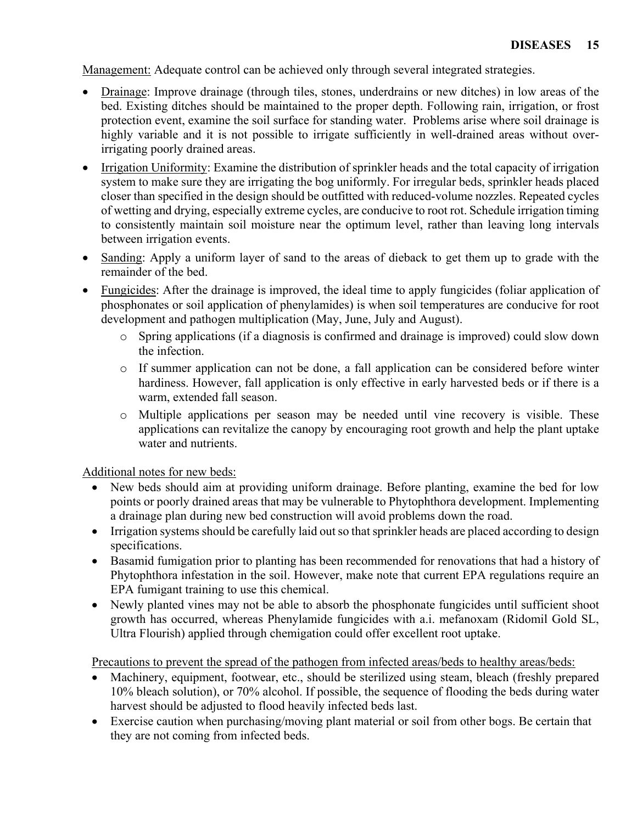Management: Adequate control can be achieved only through several integrated strategies.

- Drainage: Improve drainage (through tiles, stones, underdrains or new ditches) in low areas of the bed. Existing ditches should be maintained to the proper depth. Following rain, irrigation, or frost protection event, examine the soil surface for standing water. Problems arise where soil drainage is highly variable and it is not possible to irrigate sufficiently in well-drained areas without overirrigating poorly drained areas.
- Irrigation Uniformity: Examine the distribution of sprinkler heads and the total capacity of irrigation system to make sure they are irrigating the bog uniformly. For irregular beds, sprinkler heads placed closer than specified in the design should be outfitted with reduced-volume nozzles. Repeated cycles of wetting and drying, especially extreme cycles, are conducive to root rot. Schedule irrigation timing to consistently maintain soil moisture near the optimum level, rather than leaving long intervals between irrigation events.
- Sanding: Apply a uniform layer of sand to the areas of dieback to get them up to grade with the remainder of the bed.
- Fungicides: After the drainage is improved, the ideal time to apply fungicides (foliar application of phosphonates or soil application of phenylamides) is when soil temperatures are conducive for root development and pathogen multiplication (May, June, July and August).
	- o Spring applications (if a diagnosis is confirmed and drainage is improved) could slow down the infection.
	- $\circ$  If summer application can not be done, a fall application can be considered before winter hardiness. However, fall application is only effective in early harvested beds or if there is a warm, extended fall season.
	- o Multiple applications per season may be needed until vine recovery is visible. These applications can revitalize the canopy by encouraging root growth and help the plant uptake water and nutrients.

Additional notes for new beds:

- New beds should aim at providing uniform drainage. Before planting, examine the bed for low points or poorly drained areas that may be vulnerable to Phytophthora development. Implementing a drainage plan during new bed construction will avoid problems down the road.
- Irrigation systems should be carefully laid out so that sprinkler heads are placed according to design specifications.
- Basamid fumigation prior to planting has been recommended for renovations that had a history of Phytophthora infestation in the soil. However, make note that current EPA regulations require an EPA fumigant training to use this chemical.
- Newly planted vines may not be able to absorb the phosphonate fungicides until sufficient shoot growth has occurred, whereas Phenylamide fungicides with a.i. mefanoxam (Ridomil Gold SL, Ultra Flourish) applied through chemigation could offer excellent root uptake.

Precautions to prevent the spread of the pathogen from infected areas/beds to healthy areas/beds:

- Machinery, equipment, footwear, etc., should be sterilized using steam, bleach (freshly prepared 10% bleach solution), or 70% alcohol. If possible, the sequence of flooding the beds during water harvest should be adjusted to flood heavily infected beds last.
- Exercise caution when purchasing/moving plant material or soil from other bogs. Be certain that they are not coming from infected beds.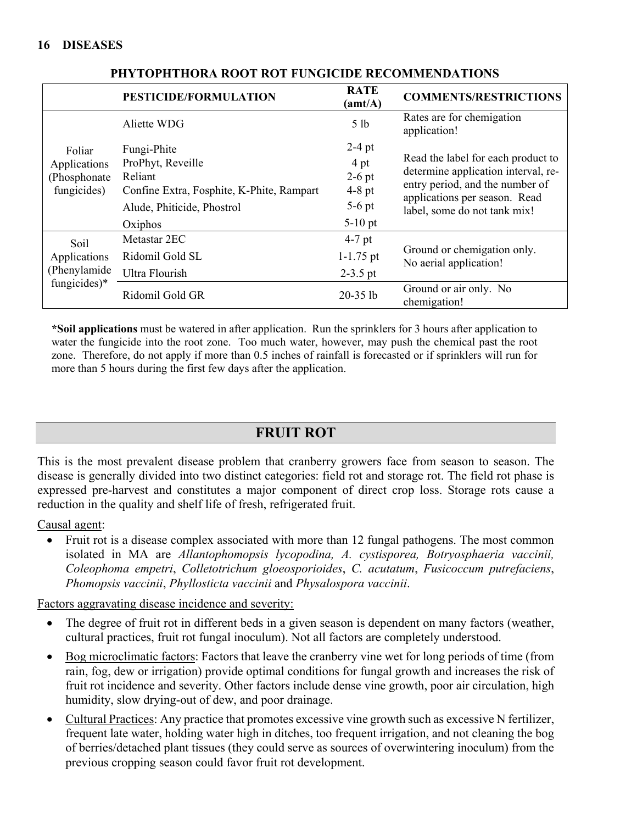|                                                       | PESTICIDE/FORMULATION                                                                                                             | <b>RATE</b><br>(amt/A)                                            | <b>COMMENTS/RESTRICTIONS</b>                                                                                                                                                  |
|-------------------------------------------------------|-----------------------------------------------------------------------------------------------------------------------------------|-------------------------------------------------------------------|-------------------------------------------------------------------------------------------------------------------------------------------------------------------------------|
|                                                       | Aliette WDG                                                                                                                       | 5 <sub>1b</sub>                                                   | Rates are for chemigation<br>application!                                                                                                                                     |
| Foliar<br>Applications<br>(Phosphonate<br>fungicides) | Fungi-Phite<br>ProPhyt, Reveille<br>Reliant<br>Confine Extra, Fosphite, K-Phite, Rampart<br>Alude, Phiticide, Phostrol<br>Oxiphos | $2-4$ pt<br>4 pt<br>$2-6$ pt<br>$4-8$ pt<br>$5-6$ pt<br>$5-10$ pt | Read the label for each product to<br>determine application interval, re-<br>entry period, and the number of<br>applications per season. Read<br>label, some do not tank mix! |
| Soil<br>Applications<br>(Phenylamide)                 | Metastar 2EC<br>Ridomil Gold SL<br>Ultra Flourish                                                                                 | $4-7$ pt<br>$1 - 1.75$ pt<br>$2-3.5$ pt                           | Ground or chemigation only.<br>No aerial application!                                                                                                                         |
| fungicides)*                                          | Ridomil Gold GR                                                                                                                   | $20-35$ lb                                                        | Ground or air only. No<br>chemigation!                                                                                                                                        |

**PHYTOPHTHORA ROOT ROT FUNGICIDE RECOMMENDATIONS**

**\*Soil applications** must be watered in after application. Run the sprinklers for 3 hours after application to water the fungicide into the root zone. Too much water, however, may push the chemical past the root zone. Therefore, do not apply if more than 0.5 inches of rainfall is forecasted or if sprinklers will run for more than 5 hours during the first few days after the application.

# **FRUIT ROT**

This is the most prevalent disease problem that cranberry growers face from season to season. The disease is generally divided into two distinct categories: field rot and storage rot. The field rot phase is expressed pre-harvest and constitutes a major component of direct crop loss. Storage rots cause a reduction in the quality and shelf life of fresh, refrigerated fruit.

Causal agent:

• Fruit rot is a disease complex associated with more than 12 fungal pathogens. The most common isolated in MA are *Allantophomopsis lycopodina, A. cystisporea, Botryosphaeria vaccinii, Coleophoma empetri*, *Colletotrichum gloeosporioides*, *C. acutatum*, *Fusicoccum putrefaciens*, *Phomopsis vaccinii*, *Phyllosticta vaccinii* and *Physalospora vaccinii*.

Factors aggravating disease incidence and severity:

- The degree of fruit rot in different beds in a given season is dependent on many factors (weather, cultural practices, fruit rot fungal inoculum). Not all factors are completely understood.
- Bog microclimatic factors: Factors that leave the cranberry vine wet for long periods of time (from rain, fog, dew or irrigation) provide optimal conditions for fungal growth and increases the risk of fruit rot incidence and severity. Other factors include dense vine growth, poor air circulation, high humidity, slow drying-out of dew, and poor drainage.
- Cultural Practices: Any practice that promotes excessive vine growth such as excessive N fertilizer, frequent late water, holding water high in ditches, too frequent irrigation, and not cleaning the bog of berries/detached plant tissues (they could serve as sources of overwintering inoculum) from the previous cropping season could favor fruit rot development.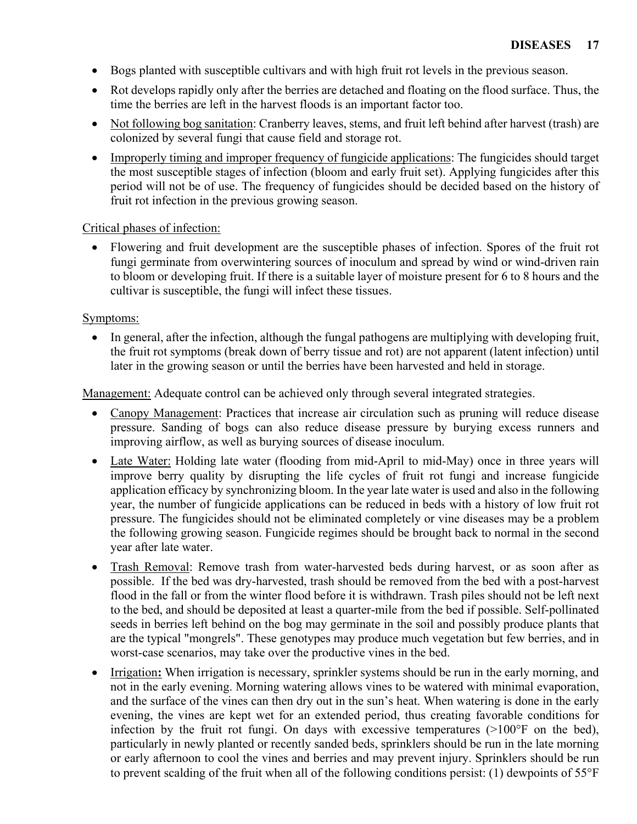- Bogs planted with susceptible cultivars and with high fruit rot levels in the previous season.
- Rot develops rapidly only after the berries are detached and floating on the flood surface. Thus, the time the berries are left in the harvest floods is an important factor too.
- Not following bog sanitation: Cranberry leaves, stems, and fruit left behind after harvest (trash) are colonized by several fungi that cause field and storage rot.
- Improperly timing and improper frequency of fungicide applications: The fungicides should target the most susceptible stages of infection (bloom and early fruit set). Applying fungicides after this period will not be of use. The frequency of fungicides should be decided based on the history of fruit rot infection in the previous growing season.

## Critical phases of infection:

• Flowering and fruit development are the susceptible phases of infection. Spores of the fruit rot fungi germinate from overwintering sources of inoculum and spread by wind or wind-driven rain to bloom or developing fruit. If there is a suitable layer of moisture present for 6 to 8 hours and the cultivar is susceptible, the fungi will infect these tissues.

## Symptoms:

In general, after the infection, although the fungal pathogens are multiplying with developing fruit, the fruit rot symptoms (break down of berry tissue and rot) are not apparent (latent infection) until later in the growing season or until the berries have been harvested and held in storage.

Management: Adequate control can be achieved only through several integrated strategies.

- Canopy Management: Practices that increase air circulation such as pruning will reduce disease pressure. Sanding of bogs can also reduce disease pressure by burying excess runners and improving airflow, as well as burying sources of disease inoculum.
- Late Water: Holding late water (flooding from mid-April to mid-May) once in three years will improve berry quality by disrupting the life cycles of fruit rot fungi and increase fungicide application efficacy by synchronizing bloom. In the year late water is used and also in the following year, the number of fungicide applications can be reduced in beds with a history of low fruit rot pressure. The fungicides should not be eliminated completely or vine diseases may be a problem the following growing season. Fungicide regimes should be brought back to normal in the second year after late water.
- Trash Removal: Remove trash from water-harvested beds during harvest, or as soon after as possible. If the bed was dry-harvested, trash should be removed from the bed with a post-harvest flood in the fall or from the winter flood before it is withdrawn. Trash piles should not be left next to the bed, and should be deposited at least a quarter-mile from the bed if possible. Self-pollinated seeds in berries left behind on the bog may germinate in the soil and possibly produce plants that are the typical "mongrels". These genotypes may produce much vegetation but few berries, and in worst-case scenarios, may take over the productive vines in the bed.
- Irrigation**:** When irrigation is necessary, sprinkler systems should be run in the early morning, and not in the early evening. Morning watering allows vines to be watered with minimal evaporation, and the surface of the vines can then dry out in the sun's heat. When watering is done in the early evening, the vines are kept wet for an extended period, thus creating favorable conditions for infection by the fruit rot fungi. On days with excessive temperatures (>100°F on the bed), particularly in newly planted or recently sanded beds, sprinklers should be run in the late morning or early afternoon to cool the vines and berries and may prevent injury. Sprinklers should be run to prevent scalding of the fruit when all of the following conditions persist: (1) dewpoints of 55°F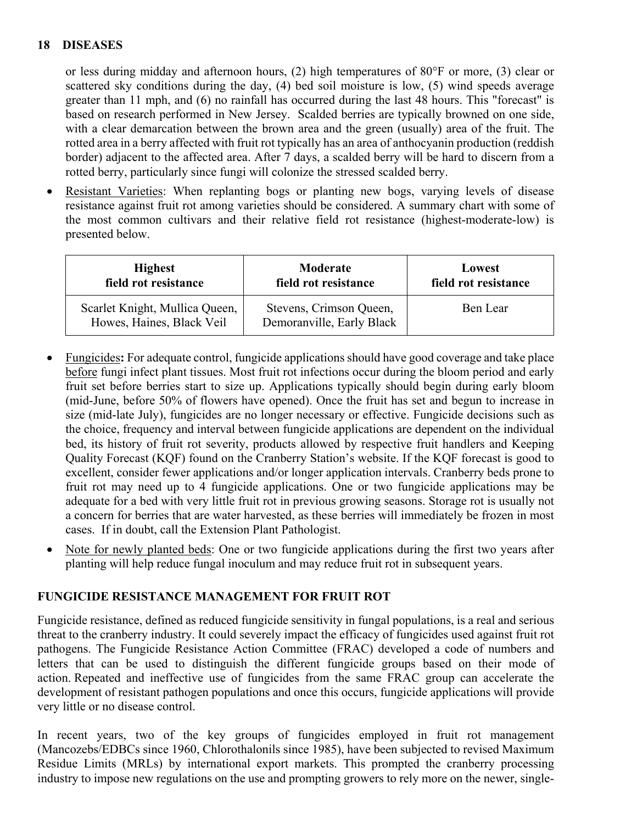or less during midday and afternoon hours, (2) high temperatures of 80°F or more, (3) clear or scattered sky conditions during the day, (4) bed soil moisture is low, (5) wind speeds average greater than 11 mph, and (6) no rainfall has occurred during the last 48 hours. This "forecast" is based on research performed in New Jersey. Scalded berries are typically browned on one side, with a clear demarcation between the brown area and the green (usually) area of the fruit. The rotted area in a berry affected with fruit rot typically has an area of anthocyanin production (reddish border) adjacent to the affected area. After 7 days, a scalded berry will be hard to discern from a rotted berry, particularly since fungi will colonize the stressed scalded berry.

• Resistant Varieties: When replanting bogs or planting new bogs, varying levels of disease resistance against fruit rot among varieties should be considered. A summary chart with some of the most common cultivars and their relative field rot resistance (highest-moderate-low) is presented below.

| <b>Highest</b>                                              | Moderate                                             | Lowest               |
|-------------------------------------------------------------|------------------------------------------------------|----------------------|
| field rot resistance                                        | field rot resistance                                 | field rot resistance |
| Scarlet Knight, Mullica Queen,<br>Howes, Haines, Black Veil | Stevens, Crimson Queen,<br>Demoranville, Early Black | Ben Lear             |

- Fungicides**:** For adequate control, fungicide applications should have good coverage and take place before fungi infect plant tissues. Most fruit rot infections occur during the bloom period and early fruit set before berries start to size up. Applications typically should begin during early bloom (mid-June, before 50% of flowers have opened). Once the fruit has set and begun to increase in size (mid-late July), fungicides are no longer necessary or effective. Fungicide decisions such as the choice, frequency and interval between fungicide applications are dependent on the individual bed, its history of fruit rot severity, products allowed by respective fruit handlers and Keeping Quality Forecast (KQF) found on the Cranberry Station's website. If the KQF forecast is good to excellent, consider fewer applications and/or longer application intervals. Cranberry beds prone to fruit rot may need up to 4 fungicide applications. One or two fungicide applications may be adequate for a bed with very little fruit rot in previous growing seasons. Storage rot is usually not a concern for berries that are water harvested, as these berries will immediately be frozen in most cases. If in doubt, call the Extension Plant Pathologist.
- Note for newly planted beds: One or two fungicide applications during the first two years after planting will help reduce fungal inoculum and may reduce fruit rot in subsequent years.

## **FUNGICIDE RESISTANCE MANAGEMENT FOR FRUIT ROT**

Fungicide resistance, defined as reduced fungicide sensitivity in fungal populations, is a real and serious threat to the cranberry industry. It could severely impact the efficacy of fungicides used against fruit rot pathogens. The Fungicide Resistance Action Committee (FRAC) developed a code of numbers and letters that can be used to distinguish the different fungicide groups based on their mode of action. Repeated and ineffective use of fungicides from the same FRAC group can accelerate the development of resistant pathogen populations and once this occurs, fungicide applications will provide very little or no disease control.

In recent years, two of the key groups of fungicides employed in fruit rot management (Mancozebs/EDBCs since 1960, Chlorothalonils since 1985), have been subjected to revised Maximum Residue Limits (MRLs) by international export markets. This prompted the cranberry processing industry to impose new regulations on the use and prompting growers to rely more on the newer, single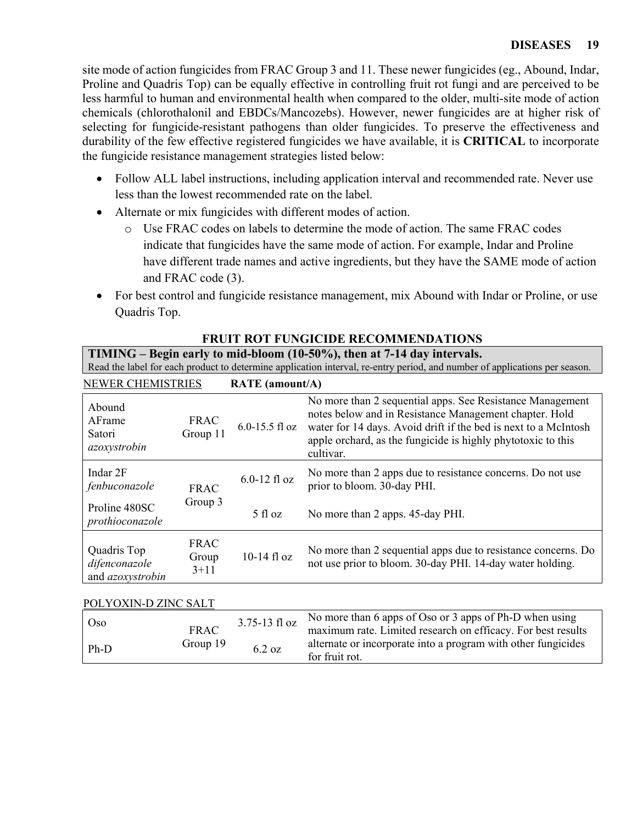site mode of action fungicides from FRAC Group 3 and 11. These newer fungicides (eg., Abound, Indar, Proline and Quadris Top) can be equally effective in controlling fruit rot fungi and are perceived to be less harmful to human and environmental health when compared to the older, multi-site mode of action chemicals (chlorothalonil and EBDCs/Mancozebs). However, newer fungicides are at higher risk of selecting for fungicide-resistant pathogens than older fungicides. To preserve the effectiveness and durability of the few effective registered fungicides we have available, it is **CRITICAL** to incorporate the fungicide resistance management strategies listed below:

- Follow ALL label instructions, including application interval and recommended rate. Never use less than the lowest recommended rate on the label.
- Alternate or mix fungicides with different modes of action.

Ph-D  $\frac{6.2 \text{ oz}}{\text{for fruit rot.}}$ 

- o Use FRAC codes on labels to determine the mode of action. The same FRAC codes indicate that fungicides have the same mode of action. For example, Indar and Proline have different trade names and active ingredients, but they have the SAME mode of action and FRAC code (3).
- For best control and fungicide resistance management, mix Abound with Indar or Proline, or use Quadris Top.

|  | <b>FRUIT ROT FUNGICIDE RECOMMENDATIONS</b> |  |  |
|--|--------------------------------------------|--|--|
|  |                                            |  |  |

**TIMING – Begin early to mid-bloom (10-50%), then at 7-14 day intervals.** 

|--|

| <b>NEWER CHEMISTRIES</b>                                |                                | <b>RATE</b> (amount/A) |                                                                                                                                                                                                                                                                     |
|---------------------------------------------------------|--------------------------------|------------------------|---------------------------------------------------------------------------------------------------------------------------------------------------------------------------------------------------------------------------------------------------------------------|
| Abound<br>AFrame<br>Satori<br>azoxystrobin              | <b>FRAC</b><br>Group 11        | $6.0 - 15.5$ fl oz     | No more than 2 sequential apps. See Resistance Management<br>notes below and in Resistance Management chapter. Hold<br>water for 14 days. Avoid drift if the bed is next to a McIntosh<br>apple orchard, as the fungicide is highly phytotoxic to this<br>cultivar. |
| Indar 2F<br>fenbuconazole                               | <b>FRAC</b>                    | $6.0-12$ fl oz         | No more than 2 apps due to resistance concerns. Do not use<br>prior to bloom. 30-day PHI.                                                                                                                                                                           |
| Proline 480SC<br>prothioconazole                        | Group 3                        | $5$ fl oz              | No more than 2 apps. 45-day PHI.                                                                                                                                                                                                                                    |
| Quadris Top<br>difenconazole<br>and <i>azoxystrobin</i> | <b>FRAC</b><br>Group<br>$3+11$ | $10-14$ fl oz          | No more than 2 sequential apps due to resistance concerns. Do<br>not use prior to bloom. 30-day PHI. 14-day water holding.                                                                                                                                          |
| POLYOXIN-D ZINC SALT                                    |                                |                        |                                                                                                                                                                                                                                                                     |
| Oso                                                     | <b>FRAC</b>                    | 3.75-13 fl oz          | No more than 6 apps of Oso or 3 apps of Ph-D when using<br>maximum rate. Limited research on efficacy. For best results                                                                                                                                             |
| $PL$ $D$                                                | Group 19                       | 622                    | alternate or incorporate into a program with other fungicides                                                                                                                                                                                                       |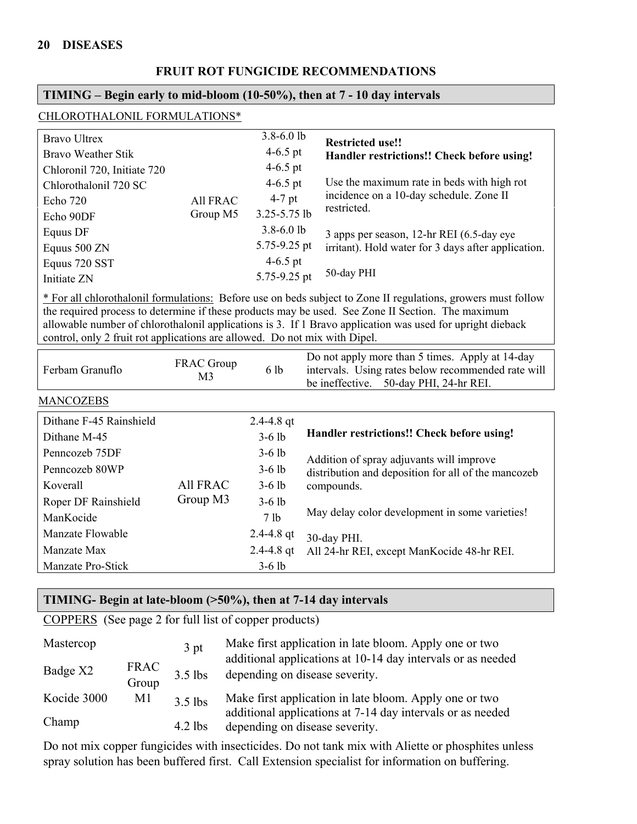#### **FRUIT ROT FUNGICIDE RECOMMENDATIONS**

## **TIMING – Begin early to mid-bloom (10-50%), then at 7 - 10 day intervals**

| CHLOROTHALONIL FORMULATIONS* |
|------------------------------|
|------------------------------|

| <b>Bravo Ultrex</b>         |                 | $3.8 - 6.0$ lb | <b>Restricted use!!</b>                             |
|-----------------------------|-----------------|----------------|-----------------------------------------------------|
| Bravo Weather Stik          |                 | 4 $-6.5$ pt    | Handler restrictions!! Check before using!          |
| Chloronil 720, Initiate 720 |                 | $4-6.5$ pt     |                                                     |
| Chlorothalonil 720 SC       |                 | 4-6.5 pt       | Use the maximum rate in beds with high rot          |
| Echo 720                    | <b>All FRAC</b> | $4-7$ pt       | incidence on a 10-day schedule. Zone II             |
| Echo 90DF                   | Group M5        | 3.25-5.75 lb   | restricted.                                         |
| Equus DF                    |                 | $3.8 - 6.0$ lb | 3 apps per season, 12-hr REI (6.5-day eye           |
| Equus 500 ZN                |                 | 5.75-9.25 pt   | irritant). Hold water for 3 days after application. |
| Equus 720 SST               |                 | 4 $-6.5$ pt    |                                                     |
| Initiate ZN                 |                 | 5.75-9.25 pt   | 50-day PHI                                          |

\* For all chlorothalonil formulations: Before use on beds subject to Zone II regulations, growers must follow the required process to determine if these products may be used. See Zone II Section. The maximum allowable number of chlorothalonil applications is 3. If 1 Bravo application was used for upright dieback control, only 2 fruit rot applications are allowed. Do not mix with Dipel.

| Ferbam Granuflo         | <b>FRAC</b> Group<br>M3     | 6 lb            | Do not apply more than 5 times. Apply at 14-day<br>intervals. Using rates below recommended rate will<br>50-day PHI, 24-hr REI.<br>be ineffective. |
|-------------------------|-----------------------------|-----------------|----------------------------------------------------------------------------------------------------------------------------------------------------|
| <b>MANCOZEBS</b>        |                             |                 |                                                                                                                                                    |
| Dithane F-45 Rainshield |                             | $2.4 - 4.8$ qt  |                                                                                                                                                    |
| Dithane M-45            |                             | $3-6$ lb        | Handler restrictions!! Check before using!                                                                                                         |
| Penncozeb 75DF          |                             | $3-6$ lb        | Addition of spray adjuvants will improve                                                                                                           |
| Penncozeb 80WP          | <b>All FRAC</b><br>Group M3 | $3-6$ lb        | distribution and deposition for all of the mancozeb                                                                                                |
| Koverall                |                             | $3-6$ lb        | compounds.                                                                                                                                         |
| Roper DF Rainshield     |                             | $3-6$ lb        |                                                                                                                                                    |
| ManKocide               |                             | 7 <sub>lb</sub> | May delay color development in some varieties!                                                                                                     |
| Manzate Flowable        |                             | $2.4 - 4.8$ qt  | 30-day PHI.                                                                                                                                        |
| Manzate Max             |                             | 2.4-4.8 qt      | All 24-hr REI, except ManKocide 48-hr REI.                                                                                                         |
| Manzate Pro-Stick       |                             | $3-6$ lb        |                                                                                                                                                    |

#### **TIMING- Begin at late-bloom (>50%), then at 7-14 day intervals**

COPPERS (See page 2 for full list of copper products)

| Mastercop   |                      | 3 <sub>pt</sub> | Make first application in late bloom. Apply one or two                                        |
|-------------|----------------------|-----------------|-----------------------------------------------------------------------------------------------|
| Badge X2    | <b>FRAC</b><br>Group | $3.5$ lbs       | additional applications at 10-14 day intervals or as needed<br>depending on disease severity. |
| Kocide 3000 | M <sub>1</sub>       | $3.5$ lbs       | Make first application in late bloom. Apply one or two                                        |
| Champ       |                      | $4.2$ lbs       | additional applications at 7-14 day intervals or as needed<br>depending on disease severity.  |

Do not mix copper fungicides with insecticides. Do not tank mix with Aliette or phosphites unless spray solution has been buffered first. Call Extension specialist for information on buffering.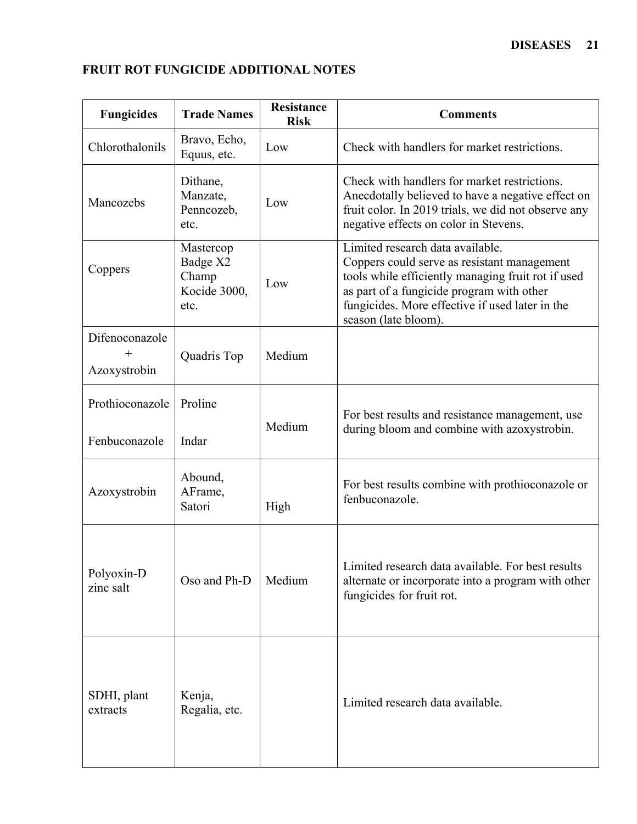| <b>Fungicides</b>              | <b>Trade Names</b>                                     | <b>Resistance</b><br><b>Risk</b> | <b>Comments</b>                                                                                                                                                                                                                                               |
|--------------------------------|--------------------------------------------------------|----------------------------------|---------------------------------------------------------------------------------------------------------------------------------------------------------------------------------------------------------------------------------------------------------------|
| Chlorothalonils                | Bravo, Echo,<br>Equus, etc.                            | Low                              | Check with handlers for market restrictions.                                                                                                                                                                                                                  |
| Mancozebs                      | Dithane,<br>Manzate,<br>Penncozeb,<br>etc.             | Low                              | Check with handlers for market restrictions.<br>Anecdotally believed to have a negative effect on<br>fruit color. In 2019 trials, we did not observe any<br>negative effects on color in Stevens.                                                             |
| Coppers                        | Mastercop<br>Badge X2<br>Champ<br>Kocide 3000,<br>etc. | Low                              | Limited research data available.<br>Coppers could serve as resistant management<br>tools while efficiently managing fruit rot if used<br>as part of a fungicide program with other<br>fungicides. More effective if used later in the<br>season (late bloom). |
| Difenoconazole<br>Azoxystrobin | Quadris Top                                            | Medium                           |                                                                                                                                                                                                                                                               |
| Prothioconazole                | Proline                                                |                                  | For best results and resistance management, use                                                                                                                                                                                                               |
| Fenbuconazole                  | Indar                                                  | Medium                           | during bloom and combine with azoxystrobin.                                                                                                                                                                                                                   |
| Azoxystrobin                   | Abound,<br>AFrame,<br>Satori                           | High                             | For best results combine with prothioconazole or<br>fenbuconazole.                                                                                                                                                                                            |
| Polyoxin-D<br>zinc salt        | Oso and Ph-D                                           | Medium                           | Limited research data available. For best results<br>alternate or incorporate into a program with other<br>fungicides for fruit rot.                                                                                                                          |
| SDHI, plant<br>extracts        | Kenja,<br>Regalia, etc.                                |                                  | Limited research data available.                                                                                                                                                                                                                              |

## **FRUIT ROT FUNGICIDE ADDITIONAL NOTES**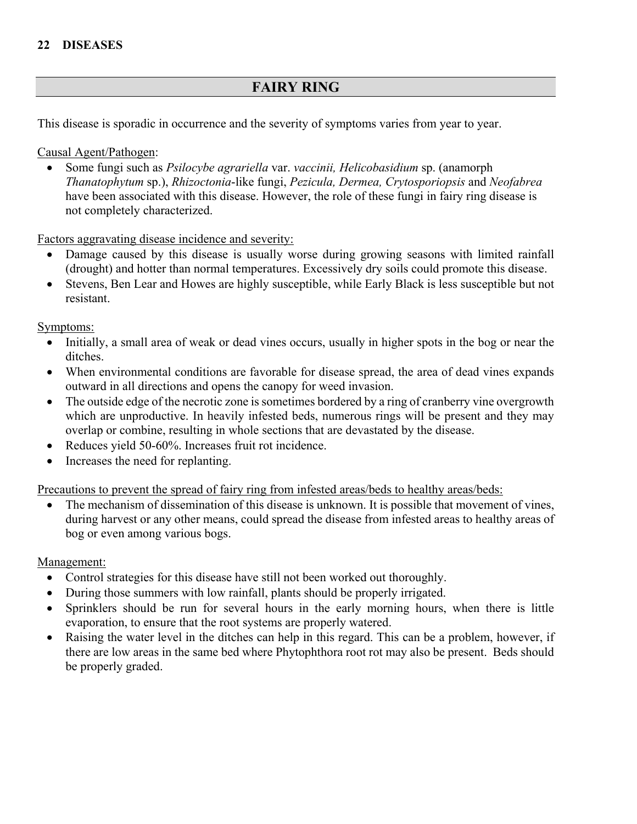## **FAIRY RING**

This disease is sporadic in occurrence and the severity of symptoms varies from year to year.

## Causal Agent/Pathogen:

• Some fungi such as *Psilocybe agrariella* var. *vaccinii, Helicobasidium* sp. (anamorph *Thanatophytum* sp.), *Rhizoctonia*-like fungi, *Pezicula, Dermea, Crytosporiopsis* and *Neofabrea* have been associated with this disease. However, the role of these fungi in fairy ring disease is not completely characterized.

Factors aggravating disease incidence and severity:

- Damage caused by this disease is usually worse during growing seasons with limited rainfall (drought) and hotter than normal temperatures. Excessively dry soils could promote this disease.
- Stevens, Ben Lear and Howes are highly susceptible, while Early Black is less susceptible but not resistant.

Symptoms:

- Initially, a small area of weak or dead vines occurs, usually in higher spots in the bog or near the ditches.
- When environmental conditions are favorable for disease spread, the area of dead vines expands outward in all directions and opens the canopy for weed invasion.
- The outside edge of the necrotic zone is sometimes bordered by a ring of cranberry vine overgrowth which are unproductive. In heavily infested beds, numerous rings will be present and they may overlap or combine, resulting in whole sections that are devastated by the disease.
- Reduces yield 50-60%. Increases fruit rot incidence.
- Increases the need for replanting.

Precautions to prevent the spread of fairy ring from infested areas/beds to healthy areas/beds:

The mechanism of dissemination of this disease is unknown. It is possible that movement of vines, during harvest or any other means, could spread the disease from infested areas to healthy areas of bog or even among various bogs.

## Management:

- Control strategies for this disease have still not been worked out thoroughly.
- During those summers with low rainfall, plants should be properly irrigated.
- Sprinklers should be run for several hours in the early morning hours, when there is little evaporation, to ensure that the root systems are properly watered.
- Raising the water level in the ditches can help in this regard. This can be a problem, however, if there are low areas in the same bed where Phytophthora root rot may also be present. Beds should be properly graded.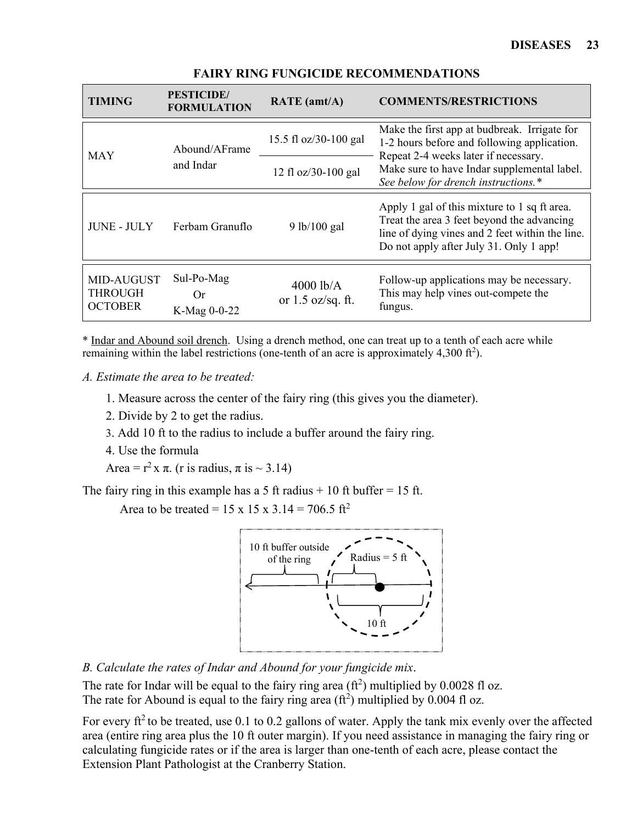| <b>TIMING</b>                                  | <b>PESTICIDE</b> /<br><b>FORMULATION</b> | RATE (amt/A)                                                                       | <b>COMMENTS/RESTRICTIONS</b>                                                                                                                                                             |  |
|------------------------------------------------|------------------------------------------|------------------------------------------------------------------------------------|------------------------------------------------------------------------------------------------------------------------------------------------------------------------------------------|--|
| <b>MAY</b>                                     | Abound/AFrame                            | 15.5 fl oz/30-100 gal                                                              | Make the first app at budbreak. Irrigate for<br>1-2 hours before and following application.<br>Repeat 2-4 weeks later if necessary.                                                      |  |
| and Indar                                      | 12 fl oz/30-100 gal                      | Make sure to have Indar supplemental label.<br>See below for drench instructions.* |                                                                                                                                                                                          |  |
| <b>JUNE - JULY</b>                             | Ferbam Granuflo                          | 9 lb/100 gal                                                                       | Apply 1 gal of this mixture to 1 sq ft area.<br>Treat the area 3 feet beyond the advancing<br>line of dying vines and 2 feet within the line.<br>Do not apply after July 31. Only 1 app! |  |
| MID-AUGUST<br><b>THROUGH</b><br><b>OCTOBER</b> | Sul-Po-Mag<br>0r<br>K-Mag 0-0-22         | $4000$ lb/A<br>or $1.5$ oz/sq. ft.                                                 | Follow-up applications may be necessary.<br>This may help vines out-compete the<br>fungus.                                                                                               |  |

#### **FAIRY RING FUNGICIDE RECOMMENDATIONS**

\* Indar and Abound soil drench. Using a drench method, one can treat up to a tenth of each acre while remaining within the label restrictions (one-tenth of an acre is approximately 4,300 ft<sup>2</sup>).

*A. Estimate the area to be treated:* 

- 1. Measure across the center of the fairy ring (this gives you the diameter).
- 2. Divide by 2 to get the radius.
- 3. Add 10 ft to the radius to include a buffer around the fairy ring.
- 4. Use the formula

Area =  $r^2$  x  $\pi$ . (r is radius,  $\pi$  is  $\sim$  3.14)

The fairy ring in this example has a 5 ft radius  $+10$  ft buffer  $= 15$  ft.

Area to be treated =  $15 \times 15 \times 3.14 = 706.5 \text{ ft}^2$ 



*B. Calculate the rates of Indar and Abound for your fungicide mix*.

The rate for Indar will be equal to the fairy ring area  $(\text{ft}^2)$  multiplied by 0.0028 fl oz. The rate for Abound is equal to the fairy ring area  $(\text{ft}^2)$  multiplied by 0.004 fl oz.

For every  $ft^2$  to be treated, use 0.1 to 0.2 gallons of water. Apply the tank mix evenly over the affected area (entire ring area plus the 10 ft outer margin). If you need assistance in managing the fairy ring or calculating fungicide rates or if the area is larger than one-tenth of each acre, please contact the Extension Plant Pathologist at the Cranberry Station.